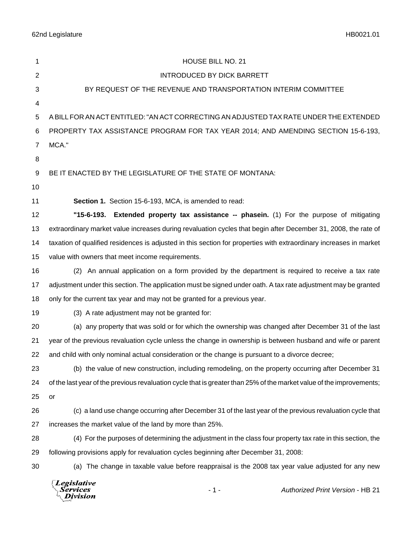62nd Legislature HB0021.01

| 1              | HOUSE BILL NO. 21                                                                                                    |  |
|----------------|----------------------------------------------------------------------------------------------------------------------|--|
| $\overline{2}$ | <b>INTRODUCED BY DICK BARRETT</b>                                                                                    |  |
| 3              | BY REQUEST OF THE REVENUE AND TRANSPORTATION INTERIM COMMITTEE                                                       |  |
| 4              |                                                                                                                      |  |
| 5              | A BILL FOR AN ACT ENTITLED: "AN ACT CORRECTING AN ADJUSTED TAX RATE UNDER THE EXTENDED                               |  |
| 6              | PROPERTY TAX ASSISTANCE PROGRAM FOR TAX YEAR 2014; AND AMENDING SECTION 15-6-193,                                    |  |
| 7              | MCA."                                                                                                                |  |
| 8              |                                                                                                                      |  |
| 9              | BE IT ENACTED BY THE LEGISLATURE OF THE STATE OF MONTANA:                                                            |  |
| 10             |                                                                                                                      |  |
| 11             | Section 1. Section 15-6-193, MCA, is amended to read:                                                                |  |
| 12             | "15-6-193. Extended property tax assistance -- phasein. (1) For the purpose of mitigating                            |  |
| 13             | extraordinary market value increases during revaluation cycles that begin after December 31, 2008, the rate of       |  |
| 14             | taxation of qualified residences is adjusted in this section for properties with extraordinary increases in market   |  |
| 15             | value with owners that meet income requirements.                                                                     |  |
| 16             | (2) An annual application on a form provided by the department is required to receive a tax rate                     |  |
| 17             | adjustment under this section. The application must be signed under oath. A tax rate adjustment may be granted       |  |
| 18             | only for the current tax year and may not be granted for a previous year.                                            |  |
| 19             | (3) A rate adjustment may not be granted for:                                                                        |  |
| 20             | (a) any property that was sold or for which the ownership was changed after December 31 of the last                  |  |
| 21             | year of the previous revaluation cycle unless the change in ownership is between husband and wife or parent          |  |
| 22             | and child with only nominal actual consideration or the change is pursuant to a divorce decree;                      |  |
| 23             | (b) the value of new construction, including remodeling, on the property occurring after December 31                 |  |
| 24             | of the last year of the previous revaluation cycle that is greater than 25% of the market value of the improvements; |  |
| 25             | or                                                                                                                   |  |
| 26             | (c) a land use change occurring after December 31 of the last year of the previous revaluation cycle that            |  |
| 27             | increases the market value of the land by more than 25%.                                                             |  |
| 28             | (4) For the purposes of determining the adjustment in the class four property tax rate in this section, the          |  |
| 29             | following provisions apply for revaluation cycles beginning after December 31, 2008:                                 |  |
| 30             | (a) The change in taxable value before reappraisal is the 2008 tax year value adjusted for any new                   |  |
|                | Legislative<br><b>Authorized Print Version - HB 21</b><br>$-1-$<br>Services<br>ivision                               |  |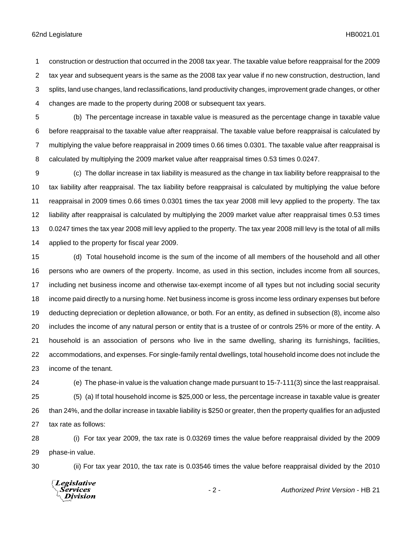## 62nd Legislature HB0021.01

 construction or destruction that occurred in the 2008 tax year. The taxable value before reappraisal for the 2009 tax year and subsequent years is the same as the 2008 tax year value if no new construction, destruction, land splits, land use changes, land reclassifications, land productivity changes, improvement grade changes, or other changes are made to the property during 2008 or subsequent tax years.

- (b) The percentage increase in taxable value is measured as the percentage change in taxable value before reappraisal to the taxable value after reappraisal. The taxable value before reappraisal is calculated by multiplying the value before reappraisal in 2009 times 0.66 times 0.0301. The taxable value after reappraisal is calculated by multiplying the 2009 market value after reappraisal times 0.53 times 0.0247.
- (c) The dollar increase in tax liability is measured as the change in tax liability before reappraisal to the tax liability after reappraisal. The tax liability before reappraisal is calculated by multiplying the value before reappraisal in 2009 times 0.66 times 0.0301 times the tax year 2008 mill levy applied to the property. The tax liability after reappraisal is calculated by multiplying the 2009 market value after reappraisal times 0.53 times 0.0247 times the tax year 2008 mill levy applied to the property. The tax year 2008 mill levy is the total of all mills applied to the property for fiscal year 2009.
- (d) Total household income is the sum of the income of all members of the household and all other persons who are owners of the property. Income, as used in this section, includes income from all sources, including net business income and otherwise tax-exempt income of all types but not including social security income paid directly to a nursing home. Net business income is gross income less ordinary expenses but before deducting depreciation or depletion allowance, or both. For an entity, as defined in subsection (8), income also includes the income of any natural person or entity that is a trustee of or controls 25% or more of the entity. A household is an association of persons who live in the same dwelling, sharing its furnishings, facilities, accommodations, and expenses. For single-family rental dwellings, total household income does not include the income of the tenant.
- 

(e) The phase-in value is the valuation change made pursuant to 15-7-111(3) since the last reappraisal.

 (5) (a) If total household income is \$25,000 or less, the percentage increase in taxable value is greater than 24%, and the dollar increase in taxable liability is \$250 or greater, then the property qualifies for an adjusted tax rate as follows:

 (i) For tax year 2009, the tax rate is 0.03269 times the value before reappraisal divided by the 2009 phase-in value.

(ii) For tax year 2010, the tax rate is 0.03546 times the value before reappraisal divided by the 2010

Legislative *Services* **Division**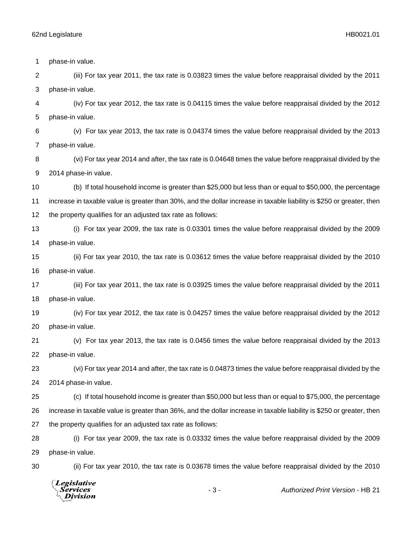**Division** 

 phase-in value. (iii) For tax year 2011, the tax rate is 0.03823 times the value before reappraisal divided by the 2011 phase-in value. (iv) For tax year 2012, the tax rate is 0.04115 times the value before reappraisal divided by the 2012 phase-in value. (v) For tax year 2013, the tax rate is 0.04374 times the value before reappraisal divided by the 2013 phase-in value. (vi) For tax year 2014 and after, the tax rate is 0.04648 times the value before reappraisal divided by the 2014 phase-in value. (b) If total household income is greater than \$25,000 but less than or equal to \$50,000, the percentage increase in taxable value is greater than 30%, and the dollar increase in taxable liability is \$250 or greater, then the property qualifies for an adjusted tax rate as follows: (i) For tax year 2009, the tax rate is 0.03301 times the value before reappraisal divided by the 2009 phase-in value. (ii) For tax year 2010, the tax rate is 0.03612 times the value before reappraisal divided by the 2010 phase-in value. (iii) For tax year 2011, the tax rate is 0.03925 times the value before reappraisal divided by the 2011 phase-in value. (iv) For tax year 2012, the tax rate is 0.04257 times the value before reappraisal divided by the 2012 phase-in value. (v) For tax year 2013, the tax rate is 0.0456 times the value before reappraisal divided by the 2013 phase-in value. (vi) For tax year 2014 and after, the tax rate is 0.04873 times the value before reappraisal divided by the 2014 phase-in value. (c) If total household income is greater than \$50,000 but less than or equal to \$75,000, the percentage increase in taxable value is greater than 36%, and the dollar increase in taxable liability is \$250 or greater, then the property qualifies for an adjusted tax rate as follows: (i) For tax year 2009, the tax rate is 0.03332 times the value before reappraisal divided by the 2009 phase-in value. (ii) For tax year 2010, the tax rate is 0.03678 times the value before reappraisal divided by the 2010**Legislative** *Services* - 3 - *Authorized Print Version* - HB 21